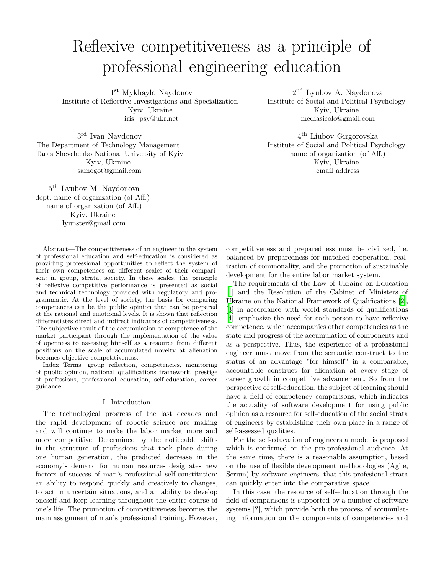# Reflexive competitiveness as a principle of professional engineering education

1 st Mykhaylo Naydonov Institute of Reflective Investigations and Specialization Kyiv, Ukraine iris\_psy@ukr.net

3 rd Ivan Naydonov The Department of Technology Management Taras Shevchenko National University of Kyiv Kyiv, Ukraine samogot@gmail.com

5 th Lyubov M. Naydonova dept. name of organization (of Aff.) name of organization (of Aff.) Kyiv, Ukraine lyunster@gmail.com

Abstract—The competitiveness of an engineer in the system of professional education and self-education is considered as providing professional opportunities to reflect the system of their own competences on different scales of their comparison: in group, strata, society. In these scales, the principle of reflexive competitive performance is presented as social and technical technology provided with regulatory and programmatic. At the level of society, the basis for comparing competences can be the public opinion that can be prepared at the rational and emotional levels. It is shown that reflection differentiates direct and indirect indicators of competitiveness. The subjective result of the accumulation of competence of the market participant through the implementation of the value of openness to assessing himself as a resource from different positions on the scale of accumulated novelty at alienation becomes objective competitiveness.

Index Terms—group reflection, competencies, monitoring of public opinion, national qualifications framework, prestige of professions, professional education, self-education, career guidance

#### I. Introduction

The technological progress of the last decades and the rapid development of robotic science are making and will continue to make the labor market more and more competitive. Determined by the noticeable shifts in the structure of professions that took place during one human generation, the predicted decrease in the economy's demand for human resources designates new factors of success of man's professional self-constitution: an ability to respond quickly and creatively to changes, to act in uncertain situations, and an ability to develop oneself and keep learning throughout the entire course of one's life. The promotion of competitiveness becomes the main assignment of man's professional training. However,

2<sup>nd</sup> Lyubov A. Naydonova Institute of Social and Political Psychology Kyiv, Ukraine mediasicolo@gmail.com

4 th Liubov Girgorovska Institute of Social and Political Psychology name of organization (of Aff.) Kyiv, Ukraine email address

competitiveness and preparedness must be civilized, i.e. balanced by preparedness for matched cooperation, realization of commonality, and the promotion of sustainable development for the entire labor market system.

The requirements of the Law of Ukraine on Education [[1\]](#page-4-0) and the Resolution of the Cabinet of Ministers of Ukraine on the National Framework of Qualifications [[2](#page-4-1)], [[3\]](#page-4-2) in accordance with world standards of qualifications [[4\]](#page-4-3), emphasize the need for each person to have reflexive competence, which accompanies other competencies as the state and progress of the accumulation of components and as a perspective. Thus, the experience of a professional engineer must move from the semantic construct to the status of an advantage "for himself" in a comparable, accountable construct for alienation at every stage of career growth in competitive advancement. So from the perspective of self-education, the subject of learning should have a field of competency comparisons, which indicates the actuality of software development for using public opinion as a resource for self-education of the social strata of engineers by establishing their own place in a range of self-assessed qualities.

For the self-education of engineers a model is proposed which is confirmed on the pre-professional audience. At the same time, there is a reasonable assumption, based on the use of flexible development methodologies (Agile, Scrum) by software engineers, that this profesional strata can quickly enter into the comparative space.

In this case, the resource of self-education through the field of comparisons is supported by a number of software systems [?], which provide both the process of accumulating information on the components of competencies and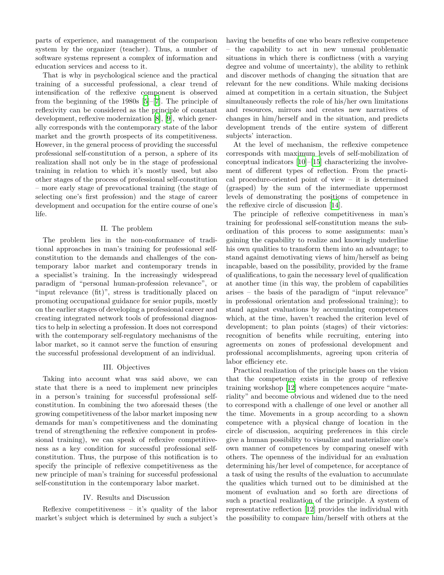parts of experience, and management of the comparison system by the organizer (teacher). Thus, a number of software systems represent a complex of information and education services and access to it.

That is why in psychological science and the practical training of a successful professional, a clear trend of intensification of the reflexive component is observed from the beginning of the 1980s [[5\]](#page-4-4)–[\[7](#page-4-5)]. The principle of reflexivity can be considered as the principle of constant development, reflexive modernization [\[8](#page-4-6)], [\[9](#page-4-7)], which generally corresponds with the contemporary state of the labor market and the growth prospects of its competitiveness. However, in the general process of providing the successful professional self-constitution of a person, a sphere of its realization shall not only be in the stage of professional training in relation to which it's mostly used, but also other stages of the process of professional self-constitution – more early stage of prevocational training (the stage of selecting one's first profession) and the stage of career development and occupation for the entire course of one's life.

#### II. The problem

The problem lies in the non-conformance of traditional approaches in man's training for professional selfconstitution to the demands and challenges of the contemporary labor market and contemporary trends in a specialist's training. In the increasingly widespread paradigm of "personal human-profession relevance", or "input relevance (fit)", stress is traditionally placed on promoting occupational guidance for senior pupils, mostly on the earlier stages of developing a professional career and creating integrated network tools of professional diagnostics to help in selecting a profession. It does not correspond with the contemporary self-regulatory mechanisms of the labor market, so it cannot serve the function of ensuring the successful professional development of an individual.

## III. Objectives

Taking into account what was said above, we can state that there is a need to implement new principles in a person's training for successful professional selfconstitution. In combining the two aforesaid theses (the growing competitiveness of the labor market imposing new demands for man's competitiveness and the dominating trend of strengthening the reflexive component in professional training), we can speak of reflexive competitiveness as a key condition for successful professional selfconstitution. Thus, the purpose of this notification is to specify the principle of reflexive competitiveness as the new principle of man's training for successful professional self-constitution in the contemporary labor market.

## IV. Results and Discussion

Reflexive competitiveness – it's quality of the labor market's subject which is determined by such a subject's having the benefits of one who bears reflexive competence – the capability to act in new unusual problematic situations in which there is conflictness (with a varying degree and volume of uncertainty), the ability to rethink and discover methods of changing the situation that are relevant for the new conditions. While making decisions aimed at competition in a certain situation, the Subject simultaneously reflects the role of his/her own limitations and resources, mirrors and creates new narratives of changes in him/herself and in the situation, and predicts development trends of the entire system of different subjects' interaction.

At the level of mechanism, the reflexive competence corresponds with maximum levels of self-mobilization of conceptual indicators [\[10](#page-4-8)]–[[15\]](#page-4-9) characterizing the involvement of different types of reflection. From the practical procedure-oriented point of view – it is determined (grasped) by the sum of the intermediate uppermost levels of demonstrating the positions of competence in the reflexive circle of discussion [\[14](#page-4-10)].

The principle of reflexive competitiveness in man's training for professional self-constitution means the subordination of this process to some assignments: man's gaining the capability to realize and knowingly underline his own qualities to transform them into an advantage; to stand against demotivating views of him/herself as being incapable, based on the possibility, provided by the frame of qualifications, to gain the necessary level of qualification at another time (in this way, the problem of capabilities arises – the basis of the paradigm of "input relevance" in professional orientation and professional training); to stand against evaluations by accumulating competences which, at the time, haven't reached the criterion level of development; to plan points (stages) of their victories: recognition of benefits while recruiting, entering into agreements on zones of professional development and professional accomplishments, agreeing upon criteria of labor efficiency etc.

Practical realization of the principle bases on the vision that the competence exists in the group of reflexive training workshop [[12\]](#page-4-11) where competences acquire "materiality" and become obvious and widened due to the need to correspond with a challenge of one level or another all the time. Movements in a group according to a shown competence with a physical change of location in the circle of discussion, acquiring preferences in this circle give a human possibility to visualize and materialize one's own manner of competences by comparing oneself with others. The openness of the individual for an evaluation determining his/her level of competence, for acceptance of a task of using the results of the evaluation to accumulate the qualities which turned out to be diminished at the moment of evaluation and so forth are directions of such a practical realization of the principle. A system of representative reflection [[12\]](#page-4-11) provides the individual with the possibility to compare him/herself with others at the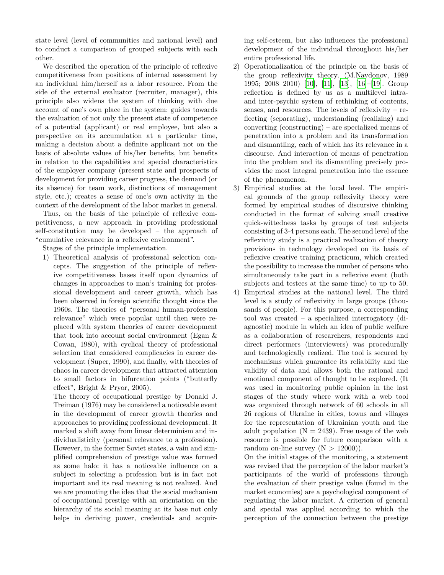state level (level of communities and national level) and to conduct a comparison of grouped subjects with each other.

We described the operation of the principle of reflexive competitiveness from positions of internal assessment by an individual him/herself as a labor resource. From the side of the external evaluator (recruiter, manager), this principle also widens the system of thinking with due account of one's own place in the system: guides towards the evaluation of not only the present state of competence of a potential (applicant) or real employee, but also a perspective on its accumulation at a particular time, making a decision about a definite applicant not on the basis of absolute values of his/her benefits, but benefits in relation to the capabilities and special characteristics of the employer company (present state and prospects of development for providing career progress, the demand (or its absence) for team work, distinctions of management style, etc.); creates a sense of one's own activity in the context of the development of the labor market in general.

Thus, on the basis of the principle of reflexive competitiveness, a new approach in providing professional self-constitution may be developed – the approach of "cumulative relevance in a reflexive environment".

Stages of the principle implementation.

1) Theoretical analysis of professional selection concepts. The suggestion of the principle of reflexive competitiveness bases itself upon dynamics of changes in approaches to man's training for professional development and career growth, which has been observed in foreign scientific thought since the 1960s. The theories of "personal human-profession relevance" which were popular until then were replaced with system theories of career development that took into account social environment (Egan & Cowan, 1980), with cyclical theory of professional selection that considered complicacies in career development (Super, 1990), and finally, with theories of chaos in career development that attracted attention to small factors in bifurcation points ("butterfly effect", Bright & Pryor, 2005).

The theory of occupational prestige by Donald J. Treiman (1976) may be considered a noticeable event in the development of career growth theories and approaches to providing professional development. It marked a shift away from linear determinism and individualisticity (personal relevance to a profession). However, in the former Soviet states, a vain and simplified comprehension of prestige value was formed as some halo: it has a noticeable influence on a subject in selecting a profession but is in fact not important and its real meaning is not realized. And we are promoting the idea that the social mechanism of occupational prestige with an orientation on the hierarchy of its social meaning at its base not only helps in deriving power, credentials and acquiring self-esteem, but also influences the professional development of the individual throughout his/her entire professional life.

- 2) Operationalization of the principle on the basis of the group reflexivity theory. (M.Naydonov, 1989 1995; 2008 2010) [\[10](#page-4-8)], [\[11](#page-4-12)],[[13\]](#page-4-13), [[16\]](#page-4-14)–[\[19](#page-4-15)]. Group reflection is defined by us as a multilevel intraand inter-psychic system of rethinking of contents, senses, and resources. The levels of reflexivity – reflecting (separating), understanding (realizing) and converting (constructing) – are specialized means of penetration into a problem and its transformation and dismantling, each of which has its relevance in a discourse. And interaction of means of penetration into the problem and its dismantling precisely provides the most integral penetration into the essence of the phenomenon.
- 3) Empirical studies at the local level. The empirical grounds of the group reflexivity theory were formed by empirical studies of discursive thinking conducted in the format of solving small creative quick-wittedness tasks by groups of test subjects consisting of 3-4 persons each. The second level of the reflexivity study is a practical realization of theory provisions in technology developed on its basis of reflexive creative training practicum, which created the possibility to increase the number of persons who simultaneously take part in a reflexive event (both subjects and testees at the same time) to up to 50.
- 4) Empirical studies at the national level. The third level is a study of reflexivity in large groups (thousands of people). For this purpose, a corresponding tool was created – a specialized interrogatory (diagnostic) module in which an idea of public welfare as a collaboration of researchers, respondents and direct performers (interviewers) was procedurally and technologically realized. The tool is secured by mechanisms which guarantee its reliability and the validity of data and allows both the rational and emotional component of thought to be explored. (It was used in monitoring public opinion in the last stages of the study where work with a web tool was organized through network of 60 schools in all 26 regions of Ukraine in cities, towns and villages for the representation of Ukrainian youth and the adult population  $(N = 2439)$ . Free usage of the web resource is possible for future comparison with a random on-line survey  $(N > 12000)$ .

On the initial stages of the monitoring, a statement was revised that the perception of the labor market's participants of the world of professions through the evaluation of their prestige value (found in the market economies) are a psychological component of regulating the labor market. A criterion of general and special was applied according to which the perception of the connection between the prestige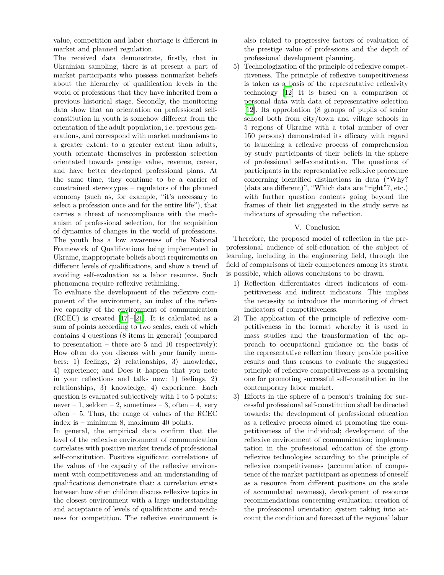value, competition and labor shortage is different in market and planned regulation.

The received data demonstrate, firstly, that in Ukrainian sampling, there is at present a part of market participants who possess nonmarket beliefs about the hierarchy of qualification levels in the world of professions that they have inherited from a previous historical stage. Secondly, the monitoring data show that an orientation on professional selfconstitution in youth is somehow different from the orientation of the adult population, i.e. previous generations, and correspond with market mechanisms to a greater extent: to a greater extent than adults, youth orientate themselves in profession selection orientated towards prestige value, revenue, career, and have better developed professional plans. At the same time, they continue to be a carrier of constrained stereotypes – regulators of the planned economy (such as, for example, "it's necessary to select a profession once and for the entire life"), that carries a threat of noncompliance with the mechanism of professional selection, for the acquisition of dynamics of changes in the world of professions. The youth has a low awareness of the National Framework of Qualifications being implemented in Ukraine, inappropriate beliefs about requirements on different levels of qualifications, and show a trend of avoiding self-evaluation as a labor resource. Such phenomena require reflexive rethinking.

To evaluate the development of the reflexive component of the environment, an index of the reflexive capacity of the environment of communication  $(RCEC)$  is created [\[17](#page-4-16)]–[[21\]](#page-4-17). It is calculated as a sum of points according to two scales, each of which contains 4 questions (8 items in general) (compared to presentation – there are  $5$  and  $10$  respectively): How often do you discuss with your family members: 1) feelings, 2) relationships, 3) knowledge, 4) experience; and Does it happen that you note in your reflections and talks new: 1) feelings, 2) relationships, 3) knowledge, 4) experience. Each question is evaluated subjectively with 1 to 5 points: never – 1, seldom – 2, sometimes – 3, often – 4, very often – 5. Thus, the range of values of the RCEC index is – minimum 8, maximum 40 points.

In general, the empirical data confirm that the level of the reflexive environment of communication correlates with positive market trends of professional self-constitution. Positive significant correlations of the values of the capacity of the reflexive environment with competitiveness and an understanding of qualifications demonstrate that: a correlation exists between how often children discuss reflexive topics in the closest environment with a large understanding and acceptance of levels of qualifications and readiness for competition. The reflexive environment is also related to progressive factors of evaluation of the prestige value of professions and the depth of professional development planning.

5) Technologization of the principle of reflexive competitiveness. The principle of reflexive competitiveness is taken as a basis of the representative reflexivity technology [[12\]](#page-4-11) It is based on a comparison of personal data with data of representative selection [[12\]](#page-4-11). Its approbation (8 groups of pupils of senior school both from city/town and village schools in 5 regions of Ukraine with a total number of over 150 persons) demonstrated its efficacy with regard to launching a reflexive process of comprehension by study participants of their beliefs in the sphere of professional self-constitution. The questions of participants in the representative reflexive procedure concerning identified distinctions in data ("Why? (data are different)", "Which data are "right"?, etc.) with further question contents going beyond the frames of their list suggested in the study serve as indicators of spreading the reflection.

# V. Conclusion

Therefore, the proposed model of reflection in the preprofessional audience of self-education of the subject of learning, including in the engineering field, through the field of comparisons of their competences among its strata is possible, which allows conclusions to be drawn.

- 1) Reflection differentiates direct indicators of competitiveness and indirect indicators. This implies the necessity to introduce the monitoring of direct indicators of competitiveness.
- 2) The application of the principle of reflexive competitiveness in the format whereby it is used in mass studies and the transformation of the approach to occupational guidance on the basis of the representative reflection theory provide positive results and thus reasons to evaluate the suggested principle of reflexive competitiveness as a promising one for promoting successful self-constitution in the contemporary labor market.
- 3) Efforts in the sphere of a person's training for successful professional self-constitution shall be directed towards: the development of professional education as a reflexive process aimed at promoting the competitiveness of the individual; development of the reflexive environment of communication; implementation in the professional education of the group reflexive technologies according to the principle of reflexive competitiveness (accumulation of competence of the market participant as openness of oneself as a resource from different positions on the scale of accumulated newness), development of resource recommendations concerning evaluation; creation of the professional orientation system taking into account the condition and forecast of the regional labor